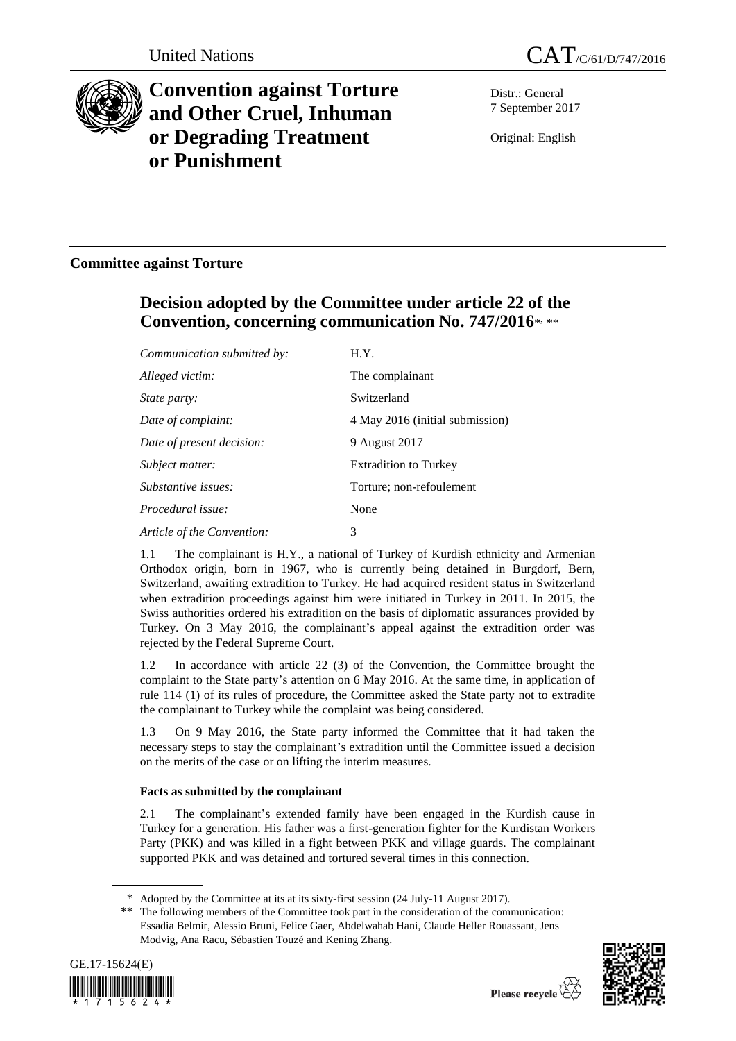



# **Convention against Torture and Other Cruel, Inhuman or Degrading Treatment or Punishment**

Distr.: General 7 September 2017

Original: English

# **Committee against Torture**

# **Decision adopted by the Committee under article 22 of the Convention, concerning communication No. 747/2016**\* , \*\*

| Communication submitted by: | H.Y.                            |
|-----------------------------|---------------------------------|
| Alleged victim:             | The complainant                 |
| <i>State party:</i>         | Switzerland                     |
| Date of complaint:          | 4 May 2016 (initial submission) |
| Date of present decision:   | 9 August 2017                   |
| Subject matter:             | <b>Extradition to Turkey</b>    |
| Substantive issues:         | Torture; non-refoulement        |
| Procedural issue:           | None                            |
| Article of the Convention:  | 3                               |

1.1 The complainant is H.Y., a national of Turkey of Kurdish ethnicity and Armenian Orthodox origin, born in 1967, who is currently being detained in Burgdorf, Bern, Switzerland, awaiting extradition to Turkey. He had acquired resident status in Switzerland when extradition proceedings against him were initiated in Turkey in 2011. In 2015, the Swiss authorities ordered his extradition on the basis of diplomatic assurances provided by Turkey. On 3 May 2016, the complainant's appeal against the extradition order was rejected by the Federal Supreme Court.

1.2 In accordance with article 22 (3) of the Convention, the Committee brought the complaint to the State party's attention on 6 May 2016. At the same time, in application of rule 114 (1) of its rules of procedure, the Committee asked the State party not to extradite the complainant to Turkey while the complaint was being considered.

1.3 On 9 May 2016, the State party informed the Committee that it had taken the necessary steps to stay the complainant's extradition until the Committee issued a decision on the merits of the case or on lifting the interim measures.

# **Facts as submitted by the complainant**

2.1 The complainant's extended family have been engaged in the Kurdish cause in Turkey for a generation. His father was a first-generation fighter for the Kurdistan Workers Party (PKK) and was killed in a fight between PKK and village guards. The complainant supported PKK and was detained and tortured several times in this connection.

<sup>\*\*</sup> The following members of the Committee took part in the consideration of the communication: Essadia Belmir, Alessio Bruni, Felice Gaer, Abdelwahab Hani, Claude Heller Rouassant, Jens Modvig, Ana Racu, Sébastien Touzé and Kening Zhang.





<sup>\*</sup> Adopted by the Committee at its at its sixty-first session (24 July-11 August 2017).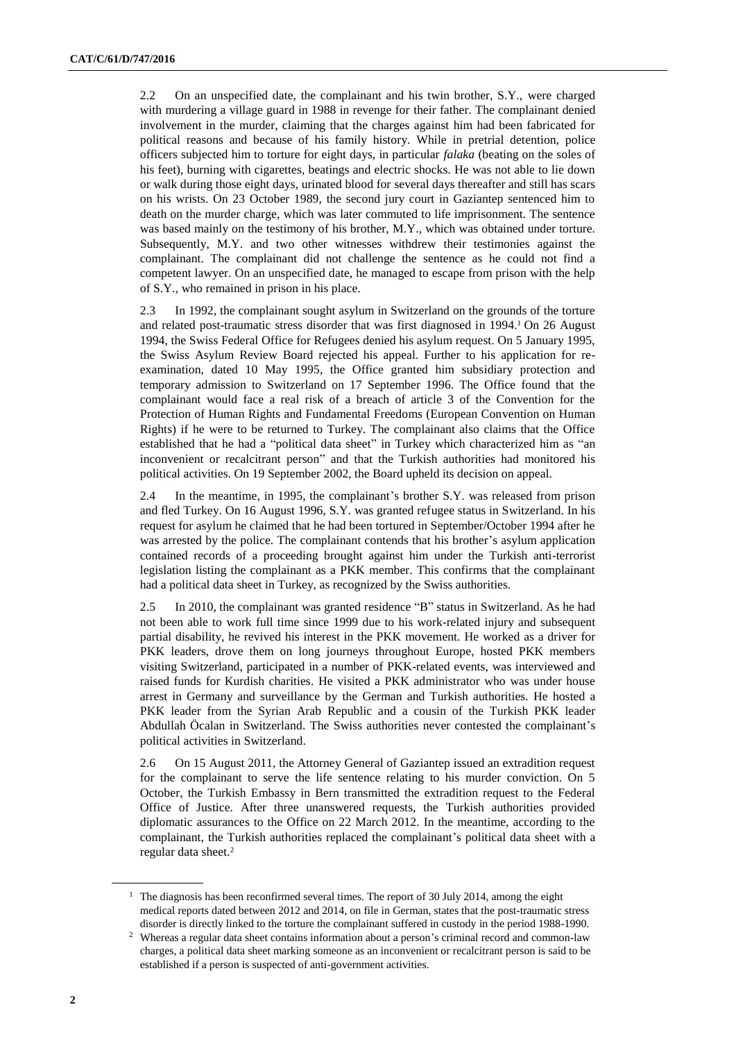2.2 On an unspecified date, the complainant and his twin brother, S.Y., were charged with murdering a village guard in 1988 in revenge for their father. The complainant denied involvement in the murder, claiming that the charges against him had been fabricated for political reasons and because of his family history. While in pretrial detention, police officers subjected him to torture for eight days, in particular *falaka* (beating on the soles of his feet), burning with cigarettes, beatings and electric shocks. He was not able to lie down or walk during those eight days, urinated blood for several days thereafter and still has scars on his wrists. On 23 October 1989, the second jury court in Gaziantep sentenced him to death on the murder charge, which was later commuted to life imprisonment. The sentence was based mainly on the testimony of his brother, M.Y., which was obtained under torture. Subsequently, M.Y. and two other witnesses withdrew their testimonies against the complainant. The complainant did not challenge the sentence as he could not find a competent lawyer. On an unspecified date, he managed to escape from prison with the help of S.Y., who remained in prison in his place.

2.3 In 1992, the complainant sought asylum in Switzerland on the grounds of the torture and related post-traumatic stress disorder that was first diagnosed in 1994.<sup>1</sup> On 26 August 1994, the Swiss Federal Office for Refugees denied his asylum request. On 5 January 1995, the Swiss Asylum Review Board rejected his appeal. Further to his application for reexamination, dated 10 May 1995, the Office granted him subsidiary protection and temporary admission to Switzerland on 17 September 1996. The Office found that the complainant would face a real risk of a breach of article 3 of the Convention for the Protection of Human Rights and Fundamental Freedoms (European Convention on Human Rights) if he were to be returned to Turkey. The complainant also claims that the Office established that he had a "political data sheet" in Turkey which characterized him as "an inconvenient or recalcitrant person" and that the Turkish authorities had monitored his political activities. On 19 September 2002, the Board upheld its decision on appeal.

2.4 In the meantime, in 1995, the complainant's brother S.Y. was released from prison and fled Turkey. On 16 August 1996, S.Y. was granted refugee status in Switzerland. In his request for asylum he claimed that he had been tortured in September/October 1994 after he was arrested by the police. The complainant contends that his brother's asylum application contained records of a proceeding brought against him under the Turkish anti-terrorist legislation listing the complainant as a PKK member. This confirms that the complainant had a political data sheet in Turkey, as recognized by the Swiss authorities.

2.5 In 2010, the complainant was granted residence "B" status in Switzerland. As he had not been able to work full time since 1999 due to his work-related injury and subsequent partial disability, he revived his interest in the PKK movement. He worked as a driver for PKK leaders, drove them on long journeys throughout Europe, hosted PKK members visiting Switzerland, participated in a number of PKK-related events, was interviewed and raised funds for Kurdish charities. He visited a PKK administrator who was under house arrest in Germany and surveillance by the German and Turkish authorities. He hosted a PKK leader from the Syrian Arab Republic and a cousin of the Turkish PKK leader Abdullah Öcalan in Switzerland. The Swiss authorities never contested the complainant's political activities in Switzerland.

2.6 On 15 August 2011, the Attorney General of Gaziantep issued an extradition request for the complainant to serve the life sentence relating to his murder conviction. On 5 October, the Turkish Embassy in Bern transmitted the extradition request to the Federal Office of Justice. After three unanswered requests, the Turkish authorities provided diplomatic assurances to the Office on 22 March 2012. In the meantime, according to the complainant, the Turkish authorities replaced the complainant's political data sheet with a regular data sheet.<sup>2</sup>

<sup>&</sup>lt;sup>1</sup> The diagnosis has been reconfirmed several times. The report of 30 July 2014, among the eight medical reports dated between 2012 and 2014, on file in German, states that the post-traumatic stress disorder is directly linked to the torture the complainant suffered in custody in the period 1988-1990.

<sup>&</sup>lt;sup>2</sup> Whereas a regular data sheet contains information about a person's criminal record and common-law charges, a political data sheet marking someone as an inconvenient or recalcitrant person is said to be established if a person is suspected of anti-government activities.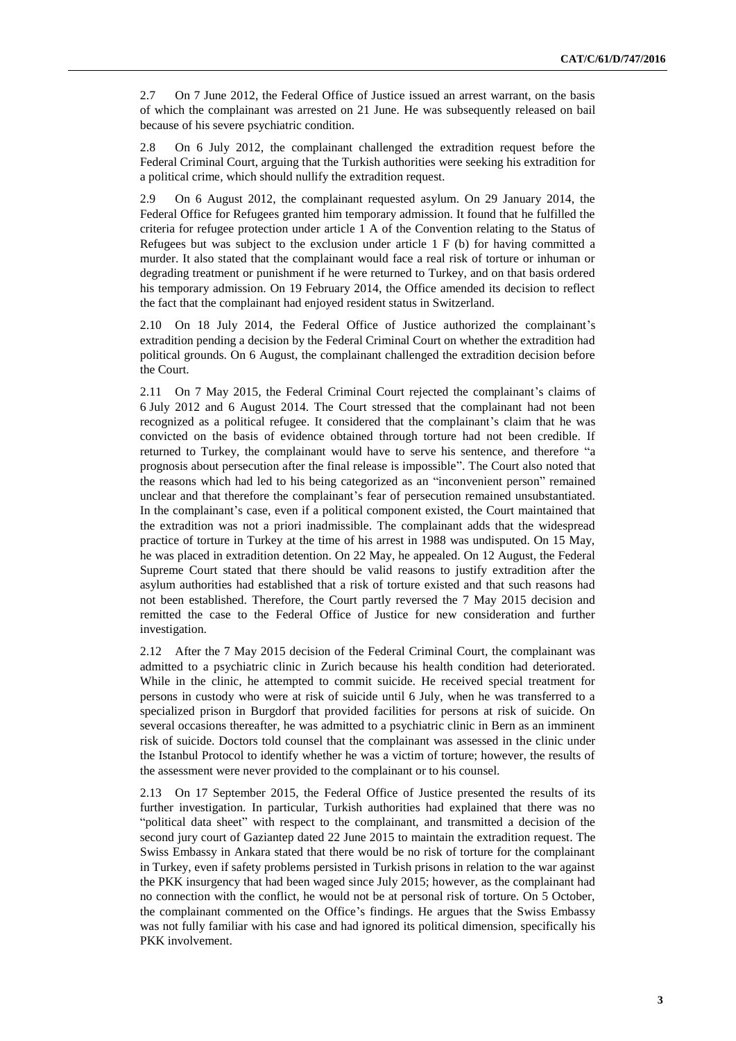2.7 On 7 June 2012, the Federal Office of Justice issued an arrest warrant, on the basis of which the complainant was arrested on 21 June. He was subsequently released on bail because of his severe psychiatric condition.

2.8 On 6 July 2012, the complainant challenged the extradition request before the Federal Criminal Court, arguing that the Turkish authorities were seeking his extradition for a political crime, which should nullify the extradition request.

2.9 On 6 August 2012, the complainant requested asylum. On 29 January 2014, the Federal Office for Refugees granted him temporary admission. It found that he fulfilled the criteria for refugee protection under article 1 A of the Convention relating to the Status of Refugees but was subject to the exclusion under article  $1 \nF (b)$  for having committed a murder. It also stated that the complainant would face a real risk of torture or inhuman or degrading treatment or punishment if he were returned to Turkey, and on that basis ordered his temporary admission. On 19 February 2014, the Office amended its decision to reflect the fact that the complainant had enjoyed resident status in Switzerland.

2.10 On 18 July 2014, the Federal Office of Justice authorized the complainant's extradition pending a decision by the Federal Criminal Court on whether the extradition had political grounds. On 6 August, the complainant challenged the extradition decision before the Court.

2.11 On 7 May 2015, the Federal Criminal Court rejected the complainant's claims of 6 July 2012 and 6 August 2014. The Court stressed that the complainant had not been recognized as a political refugee. It considered that the complainant's claim that he was convicted on the basis of evidence obtained through torture had not been credible. If returned to Turkey, the complainant would have to serve his sentence, and therefore "a prognosis about persecution after the final release is impossible". The Court also noted that the reasons which had led to his being categorized as an "inconvenient person" remained unclear and that therefore the complainant's fear of persecution remained unsubstantiated. In the complainant's case, even if a political component existed, the Court maintained that the extradition was not a priori inadmissible. The complainant adds that the widespread practice of torture in Turkey at the time of his arrest in 1988 was undisputed. On 15 May, he was placed in extradition detention. On 22 May, he appealed. On 12 August, the Federal Supreme Court stated that there should be valid reasons to justify extradition after the asylum authorities had established that a risk of torture existed and that such reasons had not been established. Therefore, the Court partly reversed the 7 May 2015 decision and remitted the case to the Federal Office of Justice for new consideration and further investigation.

2.12 After the 7 May 2015 decision of the Federal Criminal Court, the complainant was admitted to a psychiatric clinic in Zurich because his health condition had deteriorated. While in the clinic, he attempted to commit suicide. He received special treatment for persons in custody who were at risk of suicide until 6 July, when he was transferred to a specialized prison in Burgdorf that provided facilities for persons at risk of suicide. On several occasions thereafter, he was admitted to a psychiatric clinic in Bern as an imminent risk of suicide. Doctors told counsel that the complainant was assessed in the clinic under the Istanbul Protocol to identify whether he was a victim of torture; however, the results of the assessment were never provided to the complainant or to his counsel.

2.13 On 17 September 2015, the Federal Office of Justice presented the results of its further investigation. In particular, Turkish authorities had explained that there was no "political data sheet" with respect to the complainant, and transmitted a decision of the second jury court of Gaziantep dated 22 June 2015 to maintain the extradition request. The Swiss Embassy in Ankara stated that there would be no risk of torture for the complainant in Turkey, even if safety problems persisted in Turkish prisons in relation to the war against the PKK insurgency that had been waged since July 2015; however, as the complainant had no connection with the conflict, he would not be at personal risk of torture. On 5 October, the complainant commented on the Office's findings. He argues that the Swiss Embassy was not fully familiar with his case and had ignored its political dimension, specifically his PKK involvement.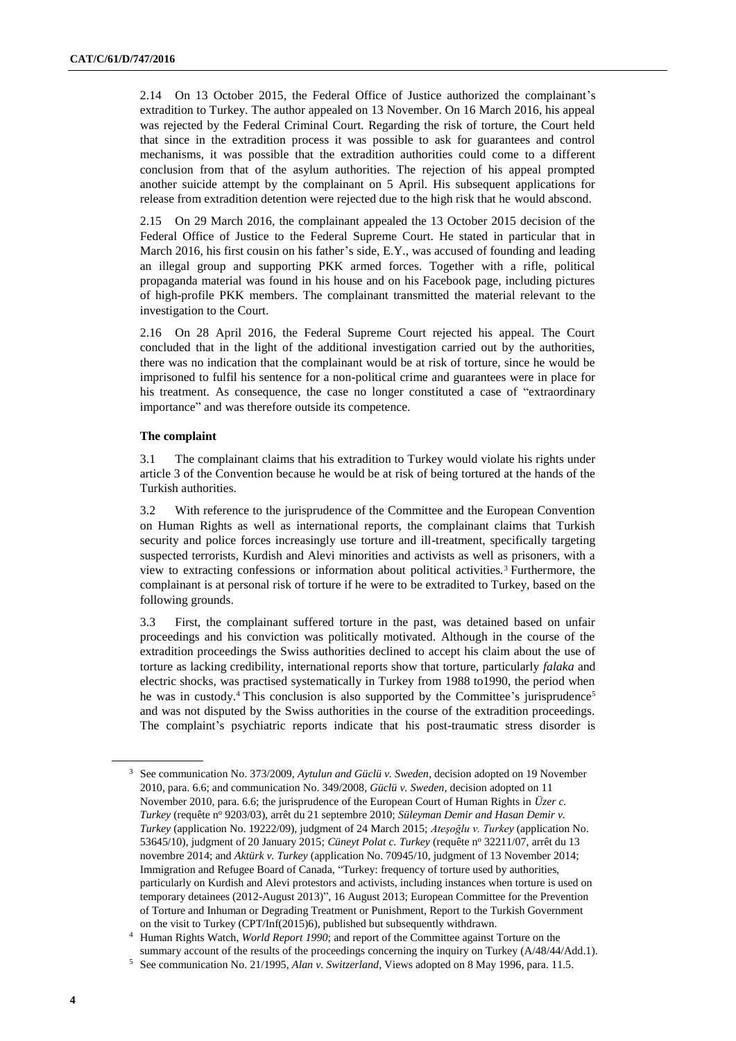2.14 On 13 October 2015, the Federal Office of Justice authorized the complainant's extradition to Turkey. The author appealed on 13 November. On 16 March 2016, his appeal was rejected by the Federal Criminal Court. Regarding the risk of torture, the Court held that since in the extradition process it was possible to ask for guarantees and control mechanisms, it was possible that the extradition authorities could come to a different conclusion from that of the asylum authorities. The rejection of his appeal prompted another suicide attempt by the complainant on 5 April. His subsequent applications for release from extradition detention were rejected due to the high risk that he would abscond.

2.15 On 29 March 2016, the complainant appealed the 13 October 2015 decision of the Federal Office of Justice to the Federal Supreme Court. He stated in particular that in March 2016, his first cousin on his father's side, E.Y., was accused of founding and leading an illegal group and supporting PKK armed forces. Together with a rifle, political propaganda material was found in his house and on his Facebook page, including pictures of high-profile PKK members. The complainant transmitted the material relevant to the investigation to the Court.

2.16 On 28 April 2016, the Federal Supreme Court rejected his appeal. The Court concluded that in the light of the additional investigation carried out by the authorities, there was no indication that the complainant would be at risk of torture, since he would be imprisoned to fulfil his sentence for a non-political crime and guarantees were in place for his treatment. As consequence, the case no longer constituted a case of "extraordinary importance" and was therefore outside its competence.

### **The complaint**

3.1 The complainant claims that his extradition to Turkey would violate his rights under article 3 of the Convention because he would be at risk of being tortured at the hands of the Turkish authorities.

3.2 With reference to the jurisprudence of the Committee and the European Convention on Human Rights as well as international reports, the complainant claims that Turkish security and police forces increasingly use torture and ill-treatment, specifically targeting suspected terrorists, Kurdish and Alevi minorities and activists as well as prisoners, with a view to extracting confessions or information about political activities.<sup>3</sup> Furthermore, the complainant is at personal risk of torture if he were to be extradited to Turkey, based on the following grounds.

3.3 First, the complainant suffered torture in the past, was detained based on unfair proceedings and his conviction was politically motivated. Although in the course of the extradition proceedings the Swiss authorities declined to accept his claim about the use of torture as lacking credibility, international reports show that torture, particularly *falaka* and electric shocks, was practised systematically in Turkey from 1988 to1990, the period when he was in custody.<sup>4</sup> This conclusion is also supported by the Committee's jurisprudence<sup>5</sup> and was not disputed by the Swiss authorities in the course of the extradition proceedings. The complaint's psychiatric reports indicate that his post-traumatic stress disorder is

<sup>3</sup> See communication No. 373/2009, *Aytulun and Güclü v. Sweden*, decision adopted on 19 November 2010, para. 6.6; and communication No. 349/2008, *Güclü v. Sweden*, decision adopted on 11 November 2010, para. 6.6; the jurisprudence of the European Court of Human Rights in *Üzer c. Turkey* (requête nº 9203/03), arrêt du 21 septembre 2010; *Süleyman Demir and Hasan Demir v*. *Turkey* (application No. 19222/09), judgment of 24 March 2015; *Ateşoğlu v. Turkey* (application No. 53645/10), judgment of 20 January 2015; *Cüneyt Polat c. Turkey* (requête n<sup>o</sup> 32211/07, arrêt du 13 novembre 2014; and *Aktürk v. Turkey* (application No. 70945/10, judgment of 13 November 2014; Immigration and Refugee Board of Canada, "Turkey: frequency of torture used by authorities, particularly on Kurdish and Alevi protestors and activists, including instances when torture is used on temporary detainees (2012-August 2013)", 16 August 2013; European Committee for the Prevention of Torture and Inhuman or Degrading Treatment or Punishment, Report to the Turkish Government on the visit to Turkey (CPT/Inf(2015)6), published but subsequently withdrawn.

<sup>4</sup> Human Rights Watch, *World Report 1990*; and report of the Committee against Torture on the summary account of the results of the proceedings concerning the inquiry on Turkey (A/48/44/Add.1).

<sup>5</sup> See communication No. 21/1995, *Alan v. Switzerland*, Views adopted on 8 May 1996, para. 11.5.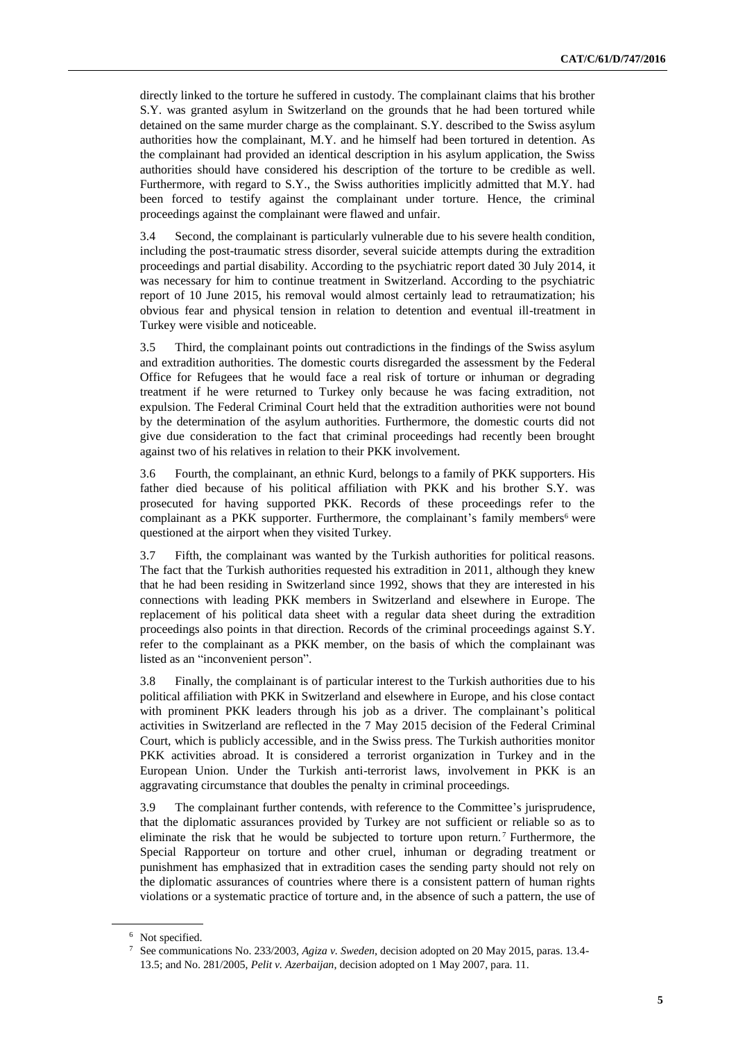directly linked to the torture he suffered in custody. The complainant claims that his brother S.Y. was granted asylum in Switzerland on the grounds that he had been tortured while detained on the same murder charge as the complainant. S.Y. described to the Swiss asylum authorities how the complainant, M.Y. and he himself had been tortured in detention. As the complainant had provided an identical description in his asylum application, the Swiss authorities should have considered his description of the torture to be credible as well. Furthermore, with regard to S.Y., the Swiss authorities implicitly admitted that M.Y. had been forced to testify against the complainant under torture. Hence, the criminal proceedings against the complainant were flawed and unfair.

3.4 Second, the complainant is particularly vulnerable due to his severe health condition, including the post-traumatic stress disorder, several suicide attempts during the extradition proceedings and partial disability. According to the psychiatric report dated 30 July 2014, it was necessary for him to continue treatment in Switzerland. According to the psychiatric report of 10 June 2015, his removal would almost certainly lead to retraumatization; his obvious fear and physical tension in relation to detention and eventual ill-treatment in Turkey were visible and noticeable.

3.5 Third, the complainant points out contradictions in the findings of the Swiss asylum and extradition authorities. The domestic courts disregarded the assessment by the Federal Office for Refugees that he would face a real risk of torture or inhuman or degrading treatment if he were returned to Turkey only because he was facing extradition, not expulsion. The Federal Criminal Court held that the extradition authorities were not bound by the determination of the asylum authorities. Furthermore, the domestic courts did not give due consideration to the fact that criminal proceedings had recently been brought against two of his relatives in relation to their PKK involvement.

3.6 Fourth, the complainant, an ethnic Kurd, belongs to a family of PKK supporters. His father died because of his political affiliation with PKK and his brother S.Y. was prosecuted for having supported PKK. Records of these proceedings refer to the complainant as a PKK supporter. Furthermore, the complainant's family members<sup>6</sup> were questioned at the airport when they visited Turkey.

3.7 Fifth, the complainant was wanted by the Turkish authorities for political reasons. The fact that the Turkish authorities requested his extradition in 2011, although they knew that he had been residing in Switzerland since 1992, shows that they are interested in his connections with leading PKK members in Switzerland and elsewhere in Europe. The replacement of his political data sheet with a regular data sheet during the extradition proceedings also points in that direction. Records of the criminal proceedings against S.Y. refer to the complainant as a PKK member, on the basis of which the complainant was listed as an "inconvenient person".

3.8 Finally, the complainant is of particular interest to the Turkish authorities due to his political affiliation with PKK in Switzerland and elsewhere in Europe, and his close contact with prominent PKK leaders through his job as a driver. The complainant's political activities in Switzerland are reflected in the 7 May 2015 decision of the Federal Criminal Court, which is publicly accessible, and in the Swiss press. The Turkish authorities monitor PKK activities abroad. It is considered a terrorist organization in Turkey and in the European Union. Under the Turkish anti-terrorist laws, involvement in PKK is an aggravating circumstance that doubles the penalty in criminal proceedings.

3.9 The complainant further contends, with reference to the Committee's jurisprudence, that the diplomatic assurances provided by Turkey are not sufficient or reliable so as to eliminate the risk that he would be subjected to torture upon return. <sup>7</sup> Furthermore, the Special Rapporteur on torture and other cruel, inhuman or degrading treatment or punishment has emphasized that in extradition cases the sending party should not rely on the diplomatic assurances of countries where there is a consistent pattern of human rights violations or a systematic practice of torture and, in the absence of such a pattern, the use of

<sup>&</sup>lt;sup>6</sup> Not specified.

<sup>7</sup> See communications No. 233/2003, *Agiza v. Sweden*, decision adopted on 20 May 2015, paras. 13.4- 13.5; and No. 281/2005, *Pelit v. Azerbaijan*, decision adopted on 1 May 2007, para. 11.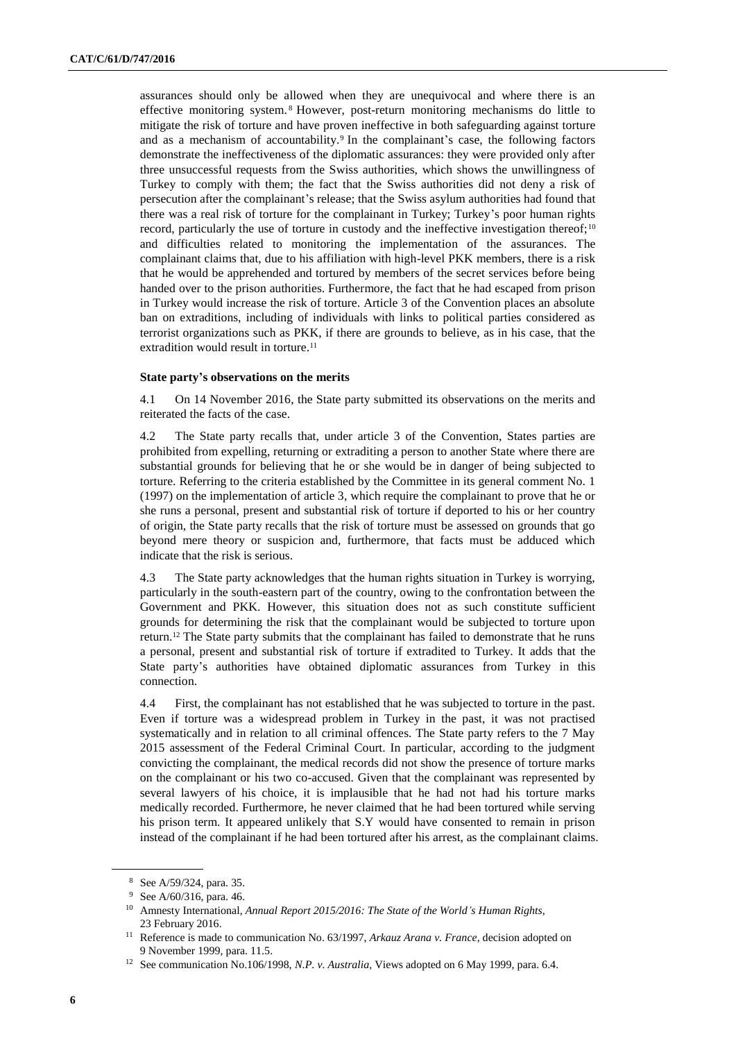assurances should only be allowed when they are unequivocal and where there is an effective monitoring system. <sup>8</sup> However, post-return monitoring mechanisms do little to mitigate the risk of torture and have proven ineffective in both safeguarding against torture and as a mechanism of accountability.<sup>9</sup> In the complainant's case, the following factors demonstrate the ineffectiveness of the diplomatic assurances: they were provided only after three unsuccessful requests from the Swiss authorities, which shows the unwillingness of Turkey to comply with them; the fact that the Swiss authorities did not deny a risk of persecution after the complainant's release; that the Swiss asylum authorities had found that there was a real risk of torture for the complainant in Turkey; Turkey's poor human rights record, particularly the use of torture in custody and the ineffective investigation thereof;<sup>10</sup> and difficulties related to monitoring the implementation of the assurances. The complainant claims that, due to his affiliation with high-level PKK members, there is a risk that he would be apprehended and tortured by members of the secret services before being handed over to the prison authorities. Furthermore, the fact that he had escaped from prison in Turkey would increase the risk of torture. Article 3 of the Convention places an absolute ban on extraditions, including of individuals with links to political parties considered as terrorist organizations such as PKK, if there are grounds to believe, as in his case, that the extradition would result in torture.<sup>11</sup>

### **State party's observations on the merits**

4.1 On 14 November 2016, the State party submitted its observations on the merits and reiterated the facts of the case.

4.2 The State party recalls that, under article 3 of the Convention, States parties are prohibited from expelling, returning or extraditing a person to another State where there are substantial grounds for believing that he or she would be in danger of being subjected to torture. Referring to the criteria established by the Committee in its general comment No. 1 (1997) on the implementation of article 3, which require the complainant to prove that he or she runs a personal, present and substantial risk of torture if deported to his or her country of origin, the State party recalls that the risk of torture must be assessed on grounds that go beyond mere theory or suspicion and, furthermore, that facts must be adduced which indicate that the risk is serious.

4.3 The State party acknowledges that the human rights situation in Turkey is worrying, particularly in the south-eastern part of the country, owing to the confrontation between the Government and PKK. However, this situation does not as such constitute sufficient grounds for determining the risk that the complainant would be subjected to torture upon return.<sup>12</sup> The State party submits that the complainant has failed to demonstrate that he runs a personal, present and substantial risk of torture if extradited to Turkey. It adds that the State party's authorities have obtained diplomatic assurances from Turkey in this connection.

4.4 First, the complainant has not established that he was subjected to torture in the past. Even if torture was a widespread problem in Turkey in the past, it was not practised systematically and in relation to all criminal offences. The State party refers to the 7 May 2015 assessment of the Federal Criminal Court. In particular, according to the judgment convicting the complainant, the medical records did not show the presence of torture marks on the complainant or his two co-accused. Given that the complainant was represented by several lawyers of his choice, it is implausible that he had not had his torture marks medically recorded. Furthermore, he never claimed that he had been tortured while serving his prison term. It appeared unlikely that S.Y would have consented to remain in prison instead of the complainant if he had been tortured after his arrest, as the complainant claims.

<sup>8</sup> See A/59/324, para. 35.

<sup>9</sup> See A/60/316, para. 46.

<sup>10</sup> Amnesty International, *Annual Report 2015/2016: The State of the World's Human Rights*, 23 February 2016.

<sup>11</sup> Reference is made to communication No. 63/1997, *Arkauz Arana v. France*, decision adopted on 9 November 1999, para. 11.5.

<sup>12</sup> See communication No.106/1998, *N.P. v. Australia*, Views adopted on 6 May 1999, para. 6.4.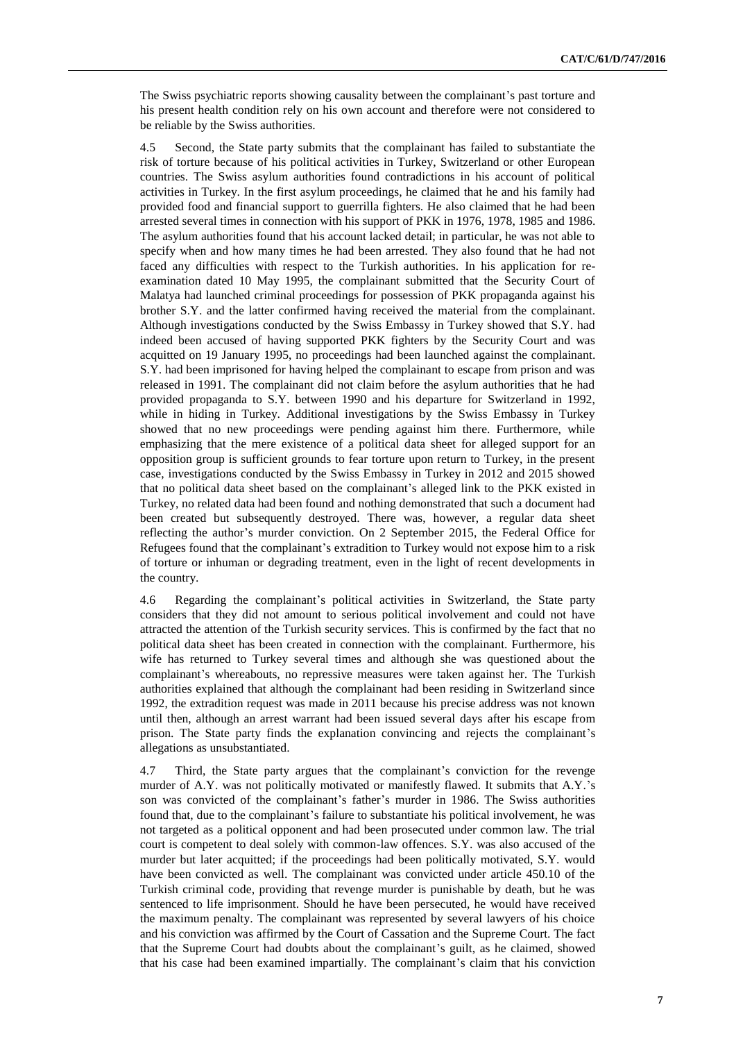The Swiss psychiatric reports showing causality between the complainant's past torture and his present health condition rely on his own account and therefore were not considered to be reliable by the Swiss authorities.

4.5 Second, the State party submits that the complainant has failed to substantiate the risk of torture because of his political activities in Turkey, Switzerland or other European countries. The Swiss asylum authorities found contradictions in his account of political activities in Turkey. In the first asylum proceedings, he claimed that he and his family had provided food and financial support to guerrilla fighters. He also claimed that he had been arrested several times in connection with his support of PKK in 1976, 1978, 1985 and 1986. The asylum authorities found that his account lacked detail; in particular, he was not able to specify when and how many times he had been arrested. They also found that he had not faced any difficulties with respect to the Turkish authorities. In his application for reexamination dated 10 May 1995, the complainant submitted that the Security Court of Malatya had launched criminal proceedings for possession of PKK propaganda against his brother S.Y. and the latter confirmed having received the material from the complainant. Although investigations conducted by the Swiss Embassy in Turkey showed that S.Y. had indeed been accused of having supported PKK fighters by the Security Court and was acquitted on 19 January 1995, no proceedings had been launched against the complainant. S.Y. had been imprisoned for having helped the complainant to escape from prison and was released in 1991. The complainant did not claim before the asylum authorities that he had provided propaganda to S.Y. between 1990 and his departure for Switzerland in 1992, while in hiding in Turkey. Additional investigations by the Swiss Embassy in Turkey showed that no new proceedings were pending against him there. Furthermore, while emphasizing that the mere existence of a political data sheet for alleged support for an opposition group is sufficient grounds to fear torture upon return to Turkey, in the present case, investigations conducted by the Swiss Embassy in Turkey in 2012 and 2015 showed that no political data sheet based on the complainant's alleged link to the PKK existed in Turkey, no related data had been found and nothing demonstrated that such a document had been created but subsequently destroyed. There was, however, a regular data sheet reflecting the author's murder conviction. On 2 September 2015, the Federal Office for Refugees found that the complainant's extradition to Turkey would not expose him to a risk of torture or inhuman or degrading treatment, even in the light of recent developments in the country.

4.6 Regarding the complainant's political activities in Switzerland, the State party considers that they did not amount to serious political involvement and could not have attracted the attention of the Turkish security services. This is confirmed by the fact that no political data sheet has been created in connection with the complainant. Furthermore, his wife has returned to Turkey several times and although she was questioned about the complainant's whereabouts, no repressive measures were taken against her. The Turkish authorities explained that although the complainant had been residing in Switzerland since 1992, the extradition request was made in 2011 because his precise address was not known until then, although an arrest warrant had been issued several days after his escape from prison. The State party finds the explanation convincing and rejects the complainant's allegations as unsubstantiated.

4.7 Third, the State party argues that the complainant's conviction for the revenge murder of A.Y. was not politically motivated or manifestly flawed. It submits that A.Y.'s son was convicted of the complainant's father's murder in 1986. The Swiss authorities found that, due to the complainant's failure to substantiate his political involvement, he was not targeted as a political opponent and had been prosecuted under common law. The trial court is competent to deal solely with common-law offences. S.Y. was also accused of the murder but later acquitted; if the proceedings had been politically motivated, S.Y. would have been convicted as well. The complainant was convicted under article 450.10 of the Turkish criminal code, providing that revenge murder is punishable by death, but he was sentenced to life imprisonment. Should he have been persecuted, he would have received the maximum penalty. The complainant was represented by several lawyers of his choice and his conviction was affirmed by the Court of Cassation and the Supreme Court. The fact that the Supreme Court had doubts about the complainant's guilt, as he claimed, showed that his case had been examined impartially. The complainant's claim that his conviction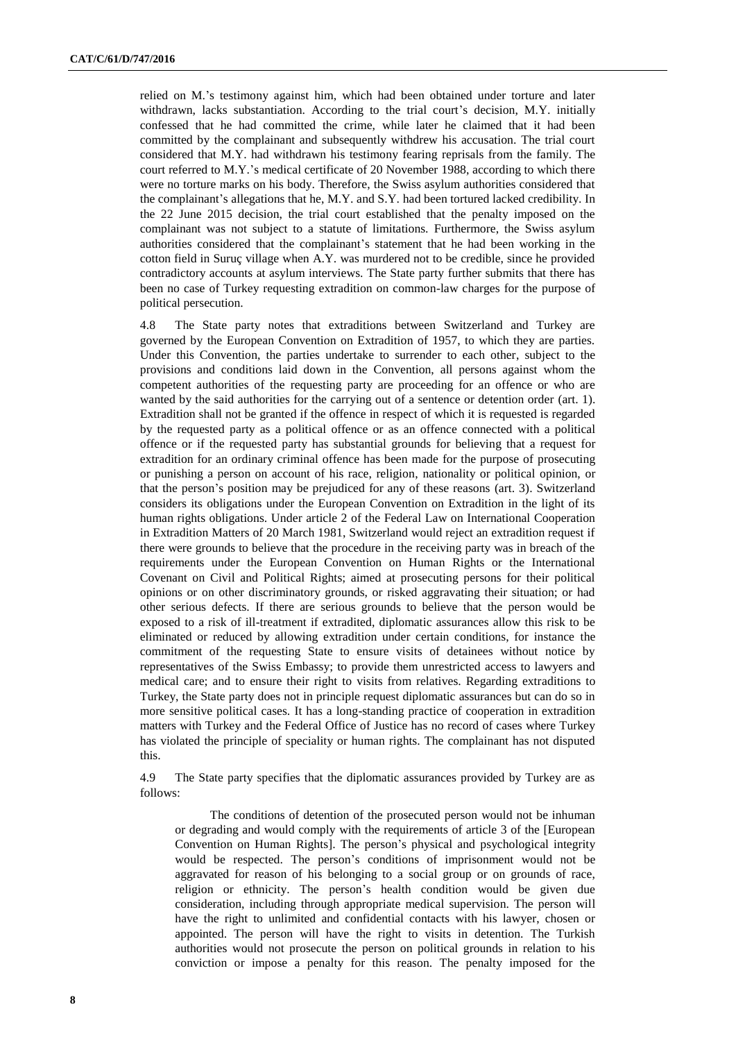relied on M.'s testimony against him, which had been obtained under torture and later withdrawn, lacks substantiation. According to the trial court's decision, M.Y. initially confessed that he had committed the crime, while later he claimed that it had been committed by the complainant and subsequently withdrew his accusation. The trial court considered that M.Y. had withdrawn his testimony fearing reprisals from the family. The court referred to M.Y.'s medical certificate of 20 November 1988, according to which there were no torture marks on his body. Therefore, the Swiss asylum authorities considered that the complainant's allegations that he, M.Y. and S.Y. had been tortured lacked credibility. In the 22 June 2015 decision, the trial court established that the penalty imposed on the complainant was not subject to a statute of limitations. Furthermore, the Swiss asylum authorities considered that the complainant's statement that he had been working in the cotton field in Suruç village when A.Y. was murdered not to be credible, since he provided contradictory accounts at asylum interviews. The State party further submits that there has been no case of Turkey requesting extradition on common-law charges for the purpose of political persecution.

4.8 The State party notes that extraditions between Switzerland and Turkey are governed by the European Convention on Extradition of 1957, to which they are parties. Under this Convention, the parties undertake to surrender to each other, subject to the provisions and conditions laid down in the Convention, all persons against whom the competent authorities of the requesting party are proceeding for an offence or who are wanted by the said authorities for the carrying out of a sentence or detention order (art. 1). Extradition shall not be granted if the offence in respect of which it is requested is regarded by the requested party as a political offence or as an offence connected with a political offence or if the requested party has substantial grounds for believing that a request for extradition for an ordinary criminal offence has been made for the purpose of prosecuting or punishing a person on account of his race, religion, nationality or political opinion, or that the person's position may be prejudiced for any of these reasons (art. 3). Switzerland considers its obligations under the European Convention on Extradition in the light of its human rights obligations. Under article 2 of the Federal Law on International Cooperation in Extradition Matters of 20 March 1981, Switzerland would reject an extradition request if there were grounds to believe that the procedure in the receiving party was in breach of the requirements under the European Convention on Human Rights or the International Covenant on Civil and Political Rights; aimed at prosecuting persons for their political opinions or on other discriminatory grounds, or risked aggravating their situation; or had other serious defects. If there are serious grounds to believe that the person would be exposed to a risk of ill-treatment if extradited, diplomatic assurances allow this risk to be eliminated or reduced by allowing extradition under certain conditions, for instance the commitment of the requesting State to ensure visits of detainees without notice by representatives of the Swiss Embassy; to provide them unrestricted access to lawyers and medical care; and to ensure their right to visits from relatives. Regarding extraditions to Turkey, the State party does not in principle request diplomatic assurances but can do so in more sensitive political cases. It has a long-standing practice of cooperation in extradition matters with Turkey and the Federal Office of Justice has no record of cases where Turkey has violated the principle of speciality or human rights. The complainant has not disputed this.

4.9 The State party specifies that the diplomatic assurances provided by Turkey are as follows:

The conditions of detention of the prosecuted person would not be inhuman or degrading and would comply with the requirements of article 3 of the [European Convention on Human Rights]. The person's physical and psychological integrity would be respected. The person's conditions of imprisonment would not be aggravated for reason of his belonging to a social group or on grounds of race, religion or ethnicity. The person's health condition would be given due consideration, including through appropriate medical supervision. The person will have the right to unlimited and confidential contacts with his lawyer, chosen or appointed. The person will have the right to visits in detention. The Turkish authorities would not prosecute the person on political grounds in relation to his conviction or impose a penalty for this reason. The penalty imposed for the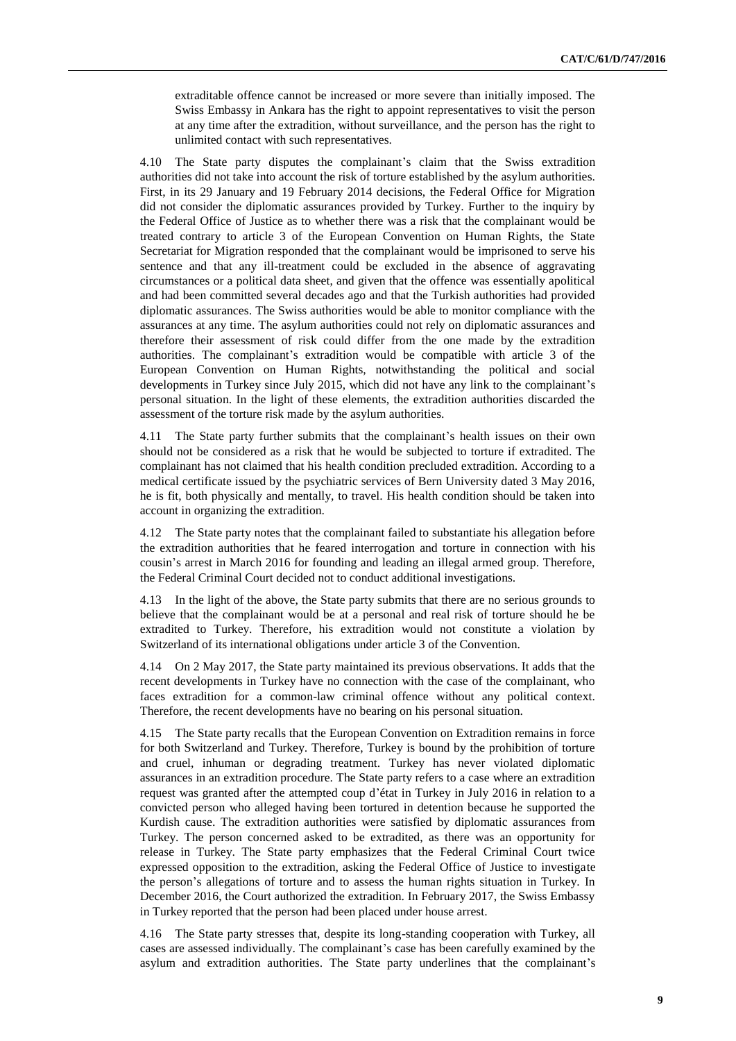extraditable offence cannot be increased or more severe than initially imposed. The Swiss Embassy in Ankara has the right to appoint representatives to visit the person at any time after the extradition, without surveillance, and the person has the right to unlimited contact with such representatives.

4.10 The State party disputes the complainant's claim that the Swiss extradition authorities did not take into account the risk of torture established by the asylum authorities. First, in its 29 January and 19 February 2014 decisions, the Federal Office for Migration did not consider the diplomatic assurances provided by Turkey. Further to the inquiry by the Federal Office of Justice as to whether there was a risk that the complainant would be treated contrary to article 3 of the European Convention on Human Rights, the State Secretariat for Migration responded that the complainant would be imprisoned to serve his sentence and that any ill-treatment could be excluded in the absence of aggravating circumstances or a political data sheet, and given that the offence was essentially apolitical and had been committed several decades ago and that the Turkish authorities had provided diplomatic assurances. The Swiss authorities would be able to monitor compliance with the assurances at any time. The asylum authorities could not rely on diplomatic assurances and therefore their assessment of risk could differ from the one made by the extradition authorities. The complainant's extradition would be compatible with article 3 of the European Convention on Human Rights, notwithstanding the political and social developments in Turkey since July 2015, which did not have any link to the complainant's personal situation. In the light of these elements, the extradition authorities discarded the assessment of the torture risk made by the asylum authorities.

4.11 The State party further submits that the complainant's health issues on their own should not be considered as a risk that he would be subjected to torture if extradited. The complainant has not claimed that his health condition precluded extradition. According to a medical certificate issued by the psychiatric services of Bern University dated 3 May 2016, he is fit, both physically and mentally, to travel. His health condition should be taken into account in organizing the extradition.

4.12 The State party notes that the complainant failed to substantiate his allegation before the extradition authorities that he feared interrogation and torture in connection with his cousin's arrest in March 2016 for founding and leading an illegal armed group. Therefore, the Federal Criminal Court decided not to conduct additional investigations.

4.13 In the light of the above, the State party submits that there are no serious grounds to believe that the complainant would be at a personal and real risk of torture should he be extradited to Turkey. Therefore, his extradition would not constitute a violation by Switzerland of its international obligations under article 3 of the Convention.

4.14 On 2 May 2017, the State party maintained its previous observations. It adds that the recent developments in Turkey have no connection with the case of the complainant, who faces extradition for a common-law criminal offence without any political context. Therefore, the recent developments have no bearing on his personal situation.

4.15 The State party recalls that the European Convention on Extradition remains in force for both Switzerland and Turkey. Therefore, Turkey is bound by the prohibition of torture and cruel, inhuman or degrading treatment. Turkey has never violated diplomatic assurances in an extradition procedure. The State party refers to a case where an extradition request was granted after the attempted coup d'état in Turkey in July 2016 in relation to a convicted person who alleged having been tortured in detention because he supported the Kurdish cause. The extradition authorities were satisfied by diplomatic assurances from Turkey. The person concerned asked to be extradited, as there was an opportunity for release in Turkey. The State party emphasizes that the Federal Criminal Court twice expressed opposition to the extradition, asking the Federal Office of Justice to investigate the person's allegations of torture and to assess the human rights situation in Turkey. In December 2016, the Court authorized the extradition. In February 2017, the Swiss Embassy in Turkey reported that the person had been placed under house arrest.

4.16 The State party stresses that, despite its long-standing cooperation with Turkey, all cases are assessed individually. The complainant's case has been carefully examined by the asylum and extradition authorities. The State party underlines that the complainant's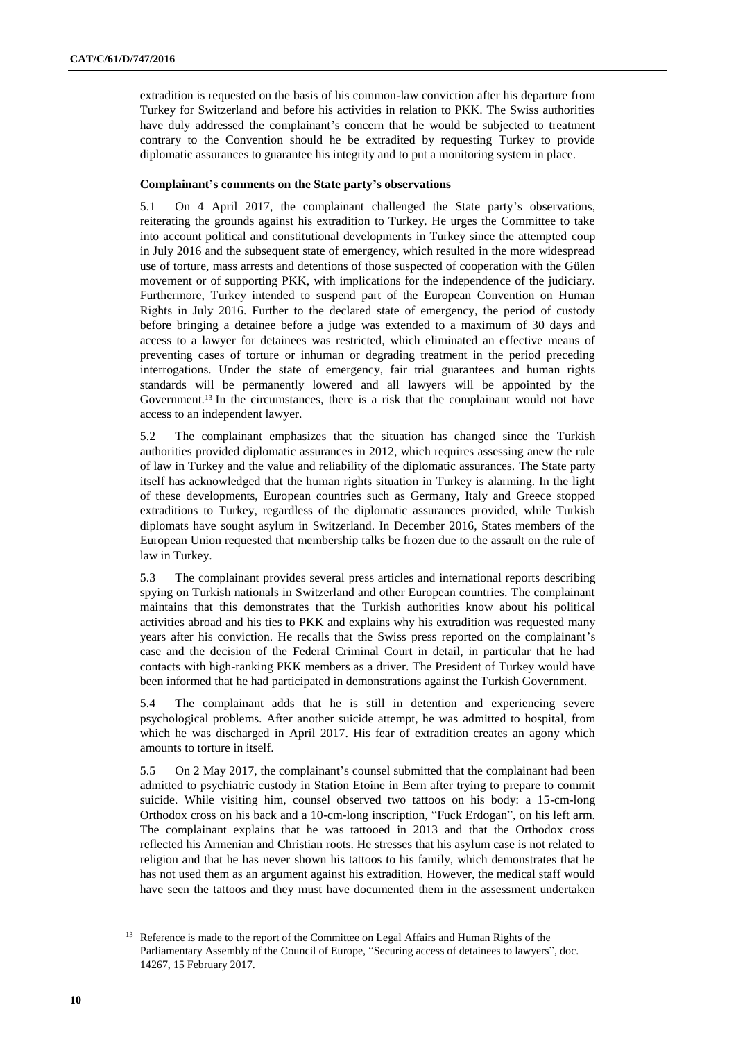extradition is requested on the basis of his common-law conviction after his departure from Turkey for Switzerland and before his activities in relation to PKK. The Swiss authorities have duly addressed the complainant's concern that he would be subjected to treatment contrary to the Convention should he be extradited by requesting Turkey to provide diplomatic assurances to guarantee his integrity and to put a monitoring system in place.

# **Complainant's comments on the State party's observations**

5.1 On 4 April 2017, the complainant challenged the State party's observations, reiterating the grounds against his extradition to Turkey. He urges the Committee to take into account political and constitutional developments in Turkey since the attempted coup in July 2016 and the subsequent state of emergency, which resulted in the more widespread use of torture, mass arrests and detentions of those suspected of cooperation with the Gülen movement or of supporting PKK, with implications for the independence of the judiciary. Furthermore, Turkey intended to suspend part of the European Convention on Human Rights in July 2016. Further to the declared state of emergency, the period of custody before bringing a detainee before a judge was extended to a maximum of 30 days and access to a lawyer for detainees was restricted, which eliminated an effective means of preventing cases of torture or inhuman or degrading treatment in the period preceding interrogations. Under the state of emergency, fair trial guarantees and human rights standards will be permanently lowered and all lawyers will be appointed by the Government.<sup>13</sup> In the circumstances, there is a risk that the complainant would not have access to an independent lawyer.

5.2 The complainant emphasizes that the situation has changed since the Turkish authorities provided diplomatic assurances in 2012, which requires assessing anew the rule of law in Turkey and the value and reliability of the diplomatic assurances. The State party itself has acknowledged that the human rights situation in Turkey is alarming. In the light of these developments, European countries such as Germany, Italy and Greece stopped extraditions to Turkey, regardless of the diplomatic assurances provided, while Turkish diplomats have sought asylum in Switzerland. In December 2016, States members of the European Union requested that membership talks be frozen due to the assault on the rule of law in Turkey.

5.3 The complainant provides several press articles and international reports describing spying on Turkish nationals in Switzerland and other European countries. The complainant maintains that this demonstrates that the Turkish authorities know about his political activities abroad and his ties to PKK and explains why his extradition was requested many years after his conviction. He recalls that the Swiss press reported on the complainant's case and the decision of the Federal Criminal Court in detail, in particular that he had contacts with high-ranking PKK members as a driver. The President of Turkey would have been informed that he had participated in demonstrations against the Turkish Government.

5.4 The complainant adds that he is still in detention and experiencing severe psychological problems. After another suicide attempt, he was admitted to hospital, from which he was discharged in April 2017. His fear of extradition creates an agony which amounts to torture in itself.

5.5 On 2 May 2017, the complainant's counsel submitted that the complainant had been admitted to psychiatric custody in Station Etoine in Bern after trying to prepare to commit suicide. While visiting him, counsel observed two tattoos on his body: a 15-cm-long Orthodox cross on his back and a 10-cm-long inscription, "Fuck Erdogan", on his left arm. The complainant explains that he was tattooed in 2013 and that the Orthodox cross reflected his Armenian and Christian roots. He stresses that his asylum case is not related to religion and that he has never shown his tattoos to his family, which demonstrates that he has not used them as an argument against his extradition. However, the medical staff would have seen the tattoos and they must have documented them in the assessment undertaken

<sup>&</sup>lt;sup>13</sup> Reference is made to the report of the Committee on Legal Affairs and Human Rights of the Parliamentary Assembly of the Council of Europe, "Securing access of detainees to lawyers", doc. 14267, 15 February 2017.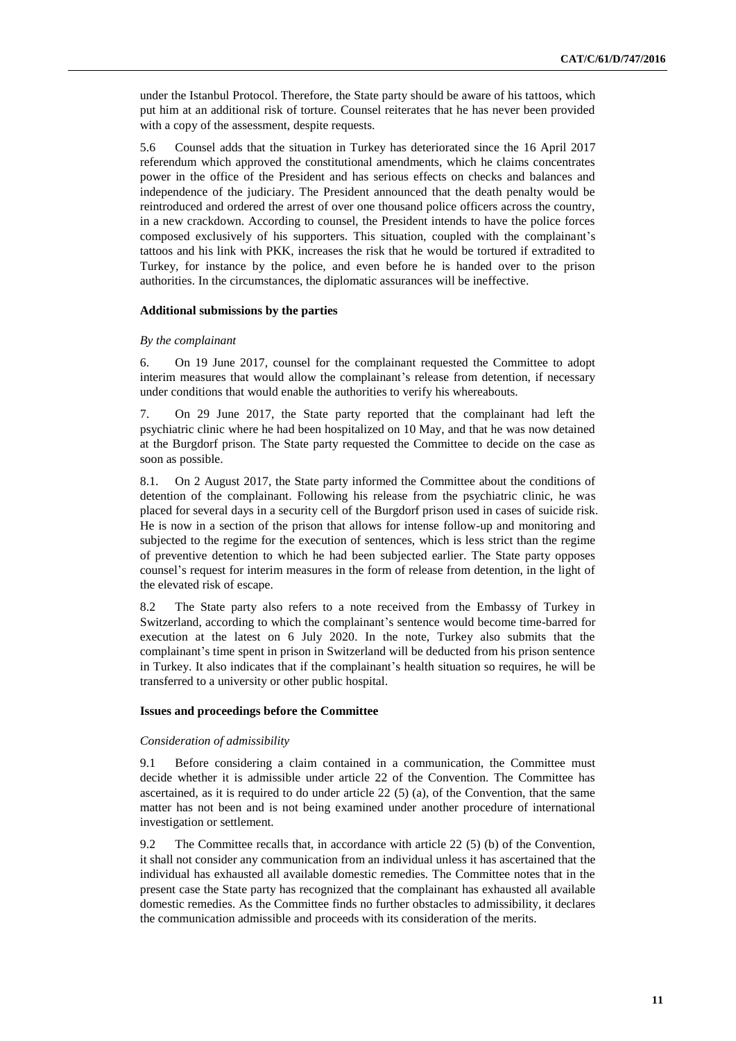under the Istanbul Protocol. Therefore, the State party should be aware of his tattoos, which put him at an additional risk of torture. Counsel reiterates that he has never been provided with a copy of the assessment, despite requests.

5.6 Counsel adds that the situation in Turkey has deteriorated since the 16 April 2017 referendum which approved the constitutional amendments, which he claims concentrates power in the office of the President and has serious effects on checks and balances and independence of the judiciary. The President announced that the death penalty would be reintroduced and ordered the arrest of over one thousand police officers across the country, in a new crackdown. According to counsel, the President intends to have the police forces composed exclusively of his supporters. This situation, coupled with the complainant's tattoos and his link with PKK, increases the risk that he would be tortured if extradited to Turkey, for instance by the police, and even before he is handed over to the prison authorities. In the circumstances, the diplomatic assurances will be ineffective.

### **Additional submissions by the parties**

#### *By the complainant*

6. On 19 June 2017, counsel for the complainant requested the Committee to adopt interim measures that would allow the complainant's release from detention, if necessary under conditions that would enable the authorities to verify his whereabouts.

7. On 29 June 2017, the State party reported that the complainant had left the psychiatric clinic where he had been hospitalized on 10 May, and that he was now detained at the Burgdorf prison. The State party requested the Committee to decide on the case as soon as possible.

8.1. On 2 August 2017, the State party informed the Committee about the conditions of detention of the complainant. Following his release from the psychiatric clinic, he was placed for several days in a security cell of the Burgdorf prison used in cases of suicide risk. He is now in a section of the prison that allows for intense follow-up and monitoring and subjected to the regime for the execution of sentences, which is less strict than the regime of preventive detention to which he had been subjected earlier. The State party opposes counsel's request for interim measures in the form of release from detention, in the light of the elevated risk of escape.

8.2 The State party also refers to a note received from the Embassy of Turkey in Switzerland, according to which the complainant's sentence would become time-barred for execution at the latest on 6 July 2020. In the note, Turkey also submits that the complainant's time spent in prison in Switzerland will be deducted from his prison sentence in Turkey. It also indicates that if the complainant's health situation so requires, he will be transferred to a university or other public hospital.

# **Issues and proceedings before the Committee**

### *Consideration of admissibility*

9.1 Before considering a claim contained in a communication, the Committee must decide whether it is admissible under article 22 of the Convention. The Committee has ascertained, as it is required to do under article  $22(5)(a)$ , of the Convention, that the same matter has not been and is not being examined under another procedure of international investigation or settlement.

9.2 The Committee recalls that, in accordance with article 22 (5) (b) of the Convention, it shall not consider any communication from an individual unless it has ascertained that the individual has exhausted all available domestic remedies. The Committee notes that in the present case the State party has recognized that the complainant has exhausted all available domestic remedies. As the Committee finds no further obstacles to admissibility, it declares the communication admissible and proceeds with its consideration of the merits.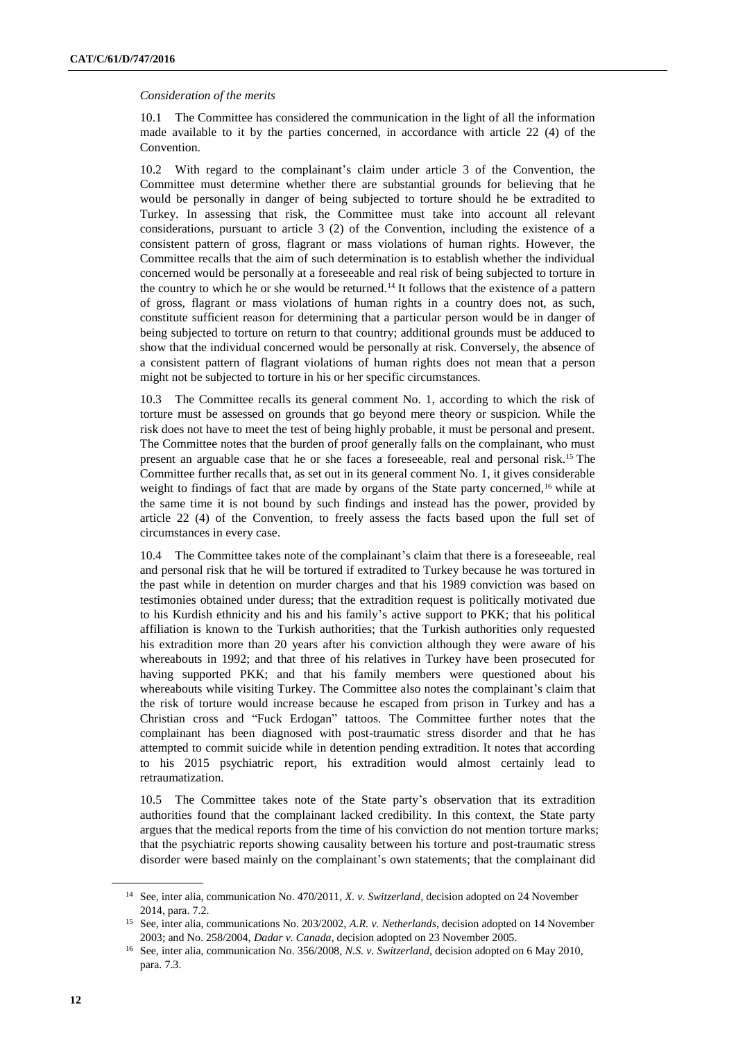## *Consideration of the merits*

10.1 The Committee has considered the communication in the light of all the information made available to it by the parties concerned, in accordance with article 22 (4) of the Convention.

10.2 With regard to the complainant's claim under article 3 of the Convention, the Committee must determine whether there are substantial grounds for believing that he would be personally in danger of being subjected to torture should he be extradited to Turkey. In assessing that risk, the Committee must take into account all relevant considerations, pursuant to article 3 (2) of the Convention, including the existence of a consistent pattern of gross, flagrant or mass violations of human rights. However, the Committee recalls that the aim of such determination is to establish whether the individual concerned would be personally at a foreseeable and real risk of being subjected to torture in the country to which he or she would be returned.<sup>14</sup> It follows that the existence of a pattern of gross, flagrant or mass violations of human rights in a country does not, as such, constitute sufficient reason for determining that a particular person would be in danger of being subjected to torture on return to that country; additional grounds must be adduced to show that the individual concerned would be personally at risk. Conversely, the absence of a consistent pattern of flagrant violations of human rights does not mean that a person might not be subjected to torture in his or her specific circumstances.

10.3 The Committee recalls its general comment No. 1, according to which the risk of torture must be assessed on grounds that go beyond mere theory or suspicion. While the risk does not have to meet the test of being highly probable, it must be personal and present. The Committee notes that the burden of proof generally falls on the complainant, who must present an arguable case that he or she faces a foreseeable, real and personal risk.<sup>15</sup> The Committee further recalls that, as set out in its general comment No. 1, it gives considerable weight to findings of fact that are made by organs of the State party concerned,<sup>16</sup> while at the same time it is not bound by such findings and instead has the power, provided by article 22 (4) of the Convention, to freely assess the facts based upon the full set of circumstances in every case.

10.4 The Committee takes note of the complainant's claim that there is a foreseeable, real and personal risk that he will be tortured if extradited to Turkey because he was tortured in the past while in detention on murder charges and that his 1989 conviction was based on testimonies obtained under duress; that the extradition request is politically motivated due to his Kurdish ethnicity and his and his family's active support to PKK; that his political affiliation is known to the Turkish authorities; that the Turkish authorities only requested his extradition more than 20 years after his conviction although they were aware of his whereabouts in 1992; and that three of his relatives in Turkey have been prosecuted for having supported PKK; and that his family members were questioned about his whereabouts while visiting Turkey. The Committee also notes the complainant's claim that the risk of torture would increase because he escaped from prison in Turkey and has a Christian cross and "Fuck Erdogan" tattoos. The Committee further notes that the complainant has been diagnosed with post-traumatic stress disorder and that he has attempted to commit suicide while in detention pending extradition. It notes that according to his 2015 psychiatric report, his extradition would almost certainly lead to retraumatization.

10.5 The Committee takes note of the State party's observation that its extradition authorities found that the complainant lacked credibility. In this context, the State party argues that the medical reports from the time of his conviction do not mention torture marks; that the psychiatric reports showing causality between his torture and post-traumatic stress disorder were based mainly on the complainant's own statements; that the complainant did

<sup>&</sup>lt;sup>14</sup> See, inter alia, communication No. 470/2011, *X. v. Switzerland*, decision adopted on 24 November 2014, para. 7.2.

<sup>15</sup> See, inter alia, communications No. 203/2002, *A.R. v. Netherlands*, decision adopted on 14 November 2003; and No. 258/2004, *Dadar v. Canada*, decision adopted on 23 November 2005.

<sup>16</sup> See, inter alia, communication No. 356/2008, *N.S. v. Switzerland*, decision adopted on 6 May 2010, para. 7.3.